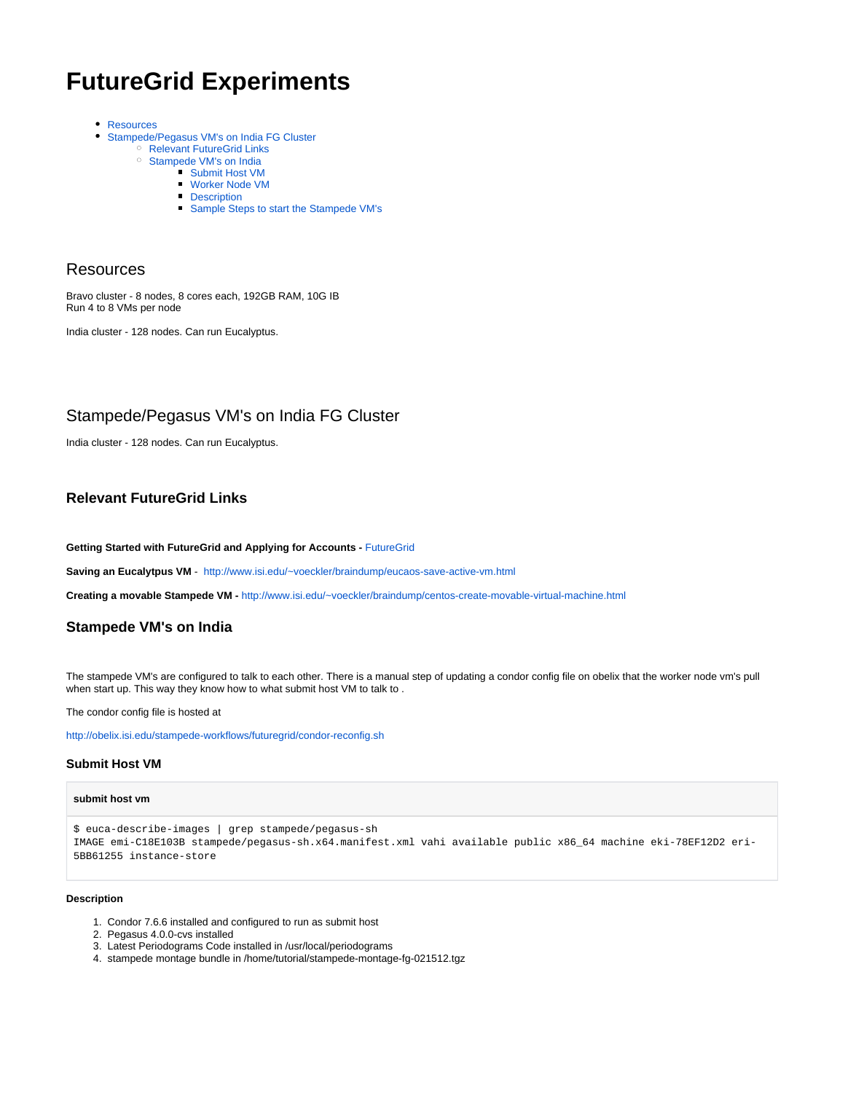# **FutureGrid Experiments**

- [Resources](#page-0-0)  $\bullet$ 
	- [Stampede/Pegasus VM's on India FG Cluster](#page-0-1)
		- <sup>o</sup> [Relevant FutureGrid Links](#page-0-2)
		- <sup>o</sup> [Stampede VM's on India](#page-0-3)
			- [Submit Host VM](#page-0-4)
			- [Worker Node VM](#page-1-0)
			- **[Description](#page-1-1)**
			- [Sample Steps to start the Stampede VM's](#page-1-2)

## <span id="page-0-0"></span>Resources

Bravo cluster - 8 nodes, 8 cores each, 192GB RAM, 10G IB Run 4 to 8 VMs per node

India cluster - 128 nodes. Can run Eucalyptus.

## <span id="page-0-1"></span>Stampede/Pegasus VM's on India FG Cluster

India cluster - 128 nodes. Can run Eucalyptus.

## <span id="page-0-2"></span>**Relevant FutureGrid Links**

**Getting Started with FutureGrid and Applying for Accounts -** [FutureGrid](https://confluence.pegasus.isi.edu/display/pegasus/FutureGrid)

**Saving an Eucalytpus VM - <http://www.isi.edu/~voeckler/braindump/eucaos-save-active-vm.html>** 

**Creating a movable Stampede VM -** <http://www.isi.edu/~voeckler/braindump/centos-create-movable-virtual-machine.html>

## <span id="page-0-3"></span>**Stampede VM's on India**

The stampede VM's are configured to talk to each other. There is a manual step of updating a condor config file on obelix that the worker node vm's pull when start up. This way they know how to what submit host VM to talk to.

The condor config file is hosted at

<http://obelix.isi.edu/stampede-workflows/futuregrid/condor-reconfig.sh>

## <span id="page-0-4"></span>**Submit Host VM**

#### **submit host vm**

\$ euca-describe-images | grep stampede/pegasus-sh IMAGE emi-C18E103B stampede/pegasus-sh.x64.manifest.xml vahi available public x86\_64 machine eki-78EF12D2 eri-5BB61255 instance-store

#### **Description**

- 1. Condor 7.6.6 installed and configured to run as submit host
- 2. Pegasus 4.0.0-cvs installed
- 3. Latest Periodograms Code installed in /usr/local/periodograms
- 4. stampede montage bundle in /home/tutorial/stampede-montage-fg-021512.tgz